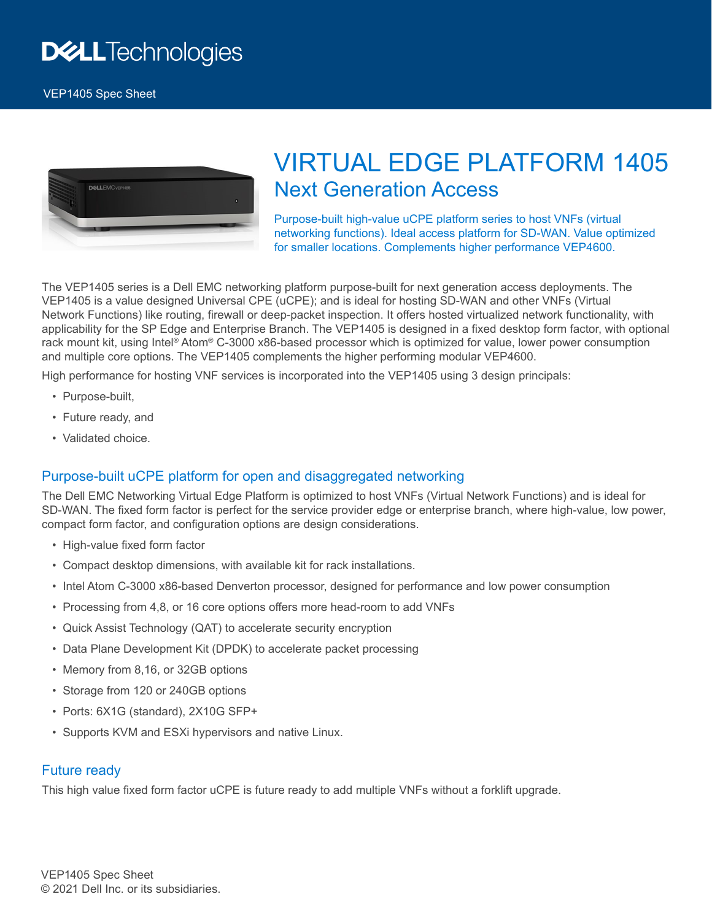

# VIRTUAL EDGE PLATFORM 1405 Next Generation Access

Purpose-built high-value uCPE platform series to host VNFs (virtual networking functions). Ideal access platform for SD-WAN. Value optimized for smaller locations. Complements higher performance VEP4600.

The VEP1405 series is a Dell EMC networking platform purpose-built for next generation access deployments. The VEP1405 is a value designed Universal CPE (uCPE); and is ideal for hosting SD-WAN and other VNFs (Virtual Network Functions) like routing, firewall or deep-packet inspection. It offers hosted virtualized network functionality, with applicability for the SP Edge and Enterprise Branch. The VEP1405 is designed in a fixed desktop form factor, with optional rack mount kit, using Intel® Atom® C-3000 x86-based processor which is optimized for value, lower power consumption and multiple core options. The VEP1405 complements the higher performing modular VEP4600.

High performance for hosting VNF services is incorporated into the VEP1405 using 3 design principals:

- Purpose-built,
- Future ready, and
- Validated choice.

### Purpose-built uCPE platform for open and disaggregated networking

The Dell EMC Networking Virtual Edge Platform is optimized to host VNFs (Virtual Network Functions) and is ideal for SD-WAN. The fixed form factor is perfect for the service provider edge or enterprise branch, where high-value, low power, compact form factor, and configuration options are design considerations.

- High-value fixed form factor
- Compact desktop dimensions, with available kit for rack installations.
- Intel Atom C-3000 x86-based Denverton processor, designed for performance and low power consumption
- Processing from 4,8, or 16 core options offers more head-room to add VNFs
- Quick Assist Technology (QAT) to accelerate security encryption
- Data Plane Development Kit (DPDK) to accelerate packet processing
- Memory from 8,16, or 32GB options
- Storage from 120 or 240GB options
- Ports: 6X1G (standard), 2X10G SFP+
- Supports KVM and ESXi hypervisors and native Linux.

#### Future ready

This high value fixed form factor uCPE is future ready to add multiple VNFs without a forklift upgrade.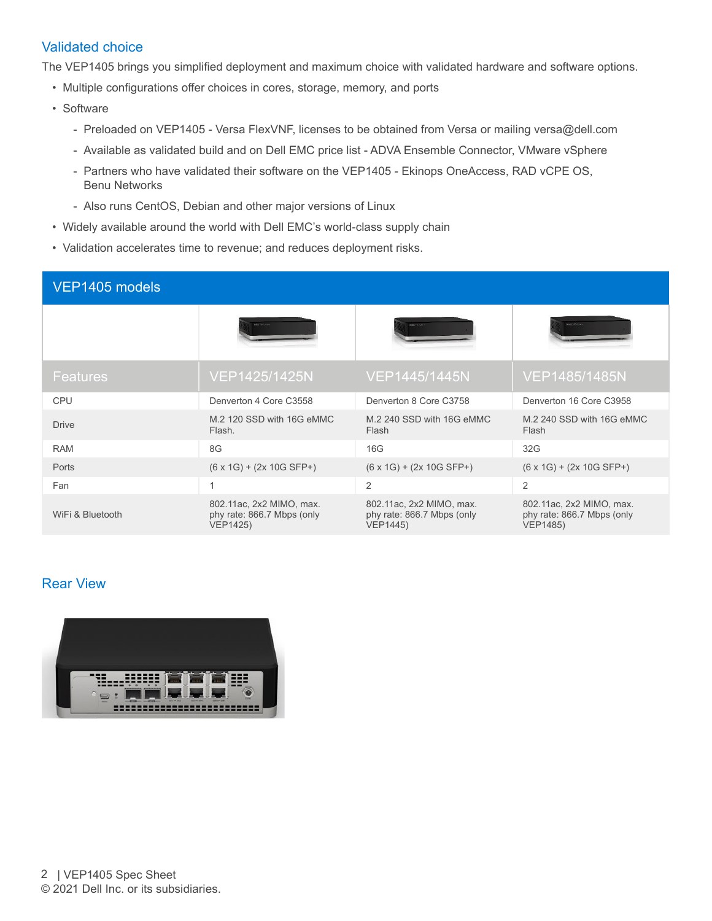## Validated choice

The VEP1405 brings you simplified deployment and maximum choice with validated hardware and software options.

- Multiple configurations offer choices in cores, storage, memory, and ports
- Software
	- Preloaded on VEP1405 Versa FlexVNF, licenses to be obtained from Versa or mailing versa@dell.com
	- Available as validated build and on Dell EMC price list ADVA Ensemble Connector, VMware vSphere
	- Partners who have validated their software on the VEP1405 Ekinops OneAccess, RAD vCPE OS, Benu Networks
	- Also runs CentOS, Debian and other major versions of Linux
- Widely available around the world with Dell EMC's world-class supply chain
- Validation accelerates time to revenue; and reduces deployment risks.

| VEP1405 models   |                                                                           |                                                                           |                                                                           |
|------------------|---------------------------------------------------------------------------|---------------------------------------------------------------------------|---------------------------------------------------------------------------|
|                  |                                                                           |                                                                           | DOLLEY DAVN                                                               |
| <b>Features</b>  | VEP1425/1425N                                                             | VEP1445/1445N                                                             | VEP1485/1485N                                                             |
| <b>CPU</b>       | Denverton 4 Core C3558                                                    | Denverton 8 Core C3758                                                    | Denverton 16 Core C3958                                                   |
| <b>Drive</b>     | M.2 120 SSD with 16G eMMC<br>Flash.                                       | M.2 240 SSD with 16G eMMC<br>Flash                                        | M.2 240 SSD with 16G eMMC<br>Flash                                        |
| <b>RAM</b>       | 8G                                                                        | 16G                                                                       | 32G                                                                       |
| Ports            | $(6 \times 1G) + (2 \times 10G SFP+)$                                     | $(6 \times 1G) + (2 \times 10G SFP+)$                                     | $(6 \times 1G) + (2 \times 10G SFP+)$                                     |
| Fan              | 1                                                                         | $\overline{2}$                                                            | $\overline{2}$                                                            |
| WiFi & Bluetooth | 802.11ac, 2x2 MIMO, max.<br>phy rate: 866.7 Mbps (only<br><b>VEP1425)</b> | 802.11ac, 2x2 MIMO, max.<br>phy rate: 866.7 Mbps (only<br><b>VEP1445)</b> | 802.11ac, 2x2 MIMO, max.<br>phy rate: 866.7 Mbps (only<br><b>VEP1485)</b> |

# Rear View

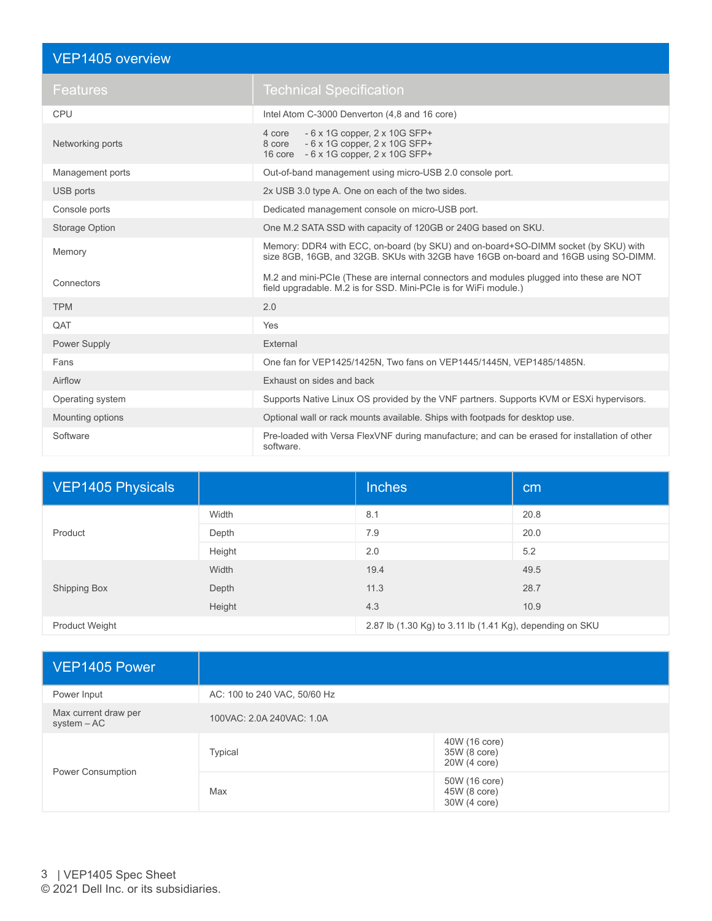| VEP1405 overview      |                                                                                                                                                                           |
|-----------------------|---------------------------------------------------------------------------------------------------------------------------------------------------------------------------|
| Features              | <b>Technical Specification</b>                                                                                                                                            |
| <b>CPU</b>            | Intel Atom C-3000 Denverton (4,8 and 16 core)                                                                                                                             |
| Networking ports      | $-6$ x 1G copper, 2 x 10G SFP+<br>4 core<br>8 core - 6 x 1G copper, 2 x 10G SFP+<br>16 core - 6 x 1G copper, 2 x 10G SFP+                                                 |
| Management ports      | Out-of-band management using micro-USB 2.0 console port.                                                                                                                  |
| USB ports             | 2x USB 3.0 type A. One on each of the two sides.                                                                                                                          |
| Console ports         | Dedicated management console on micro-USB port.                                                                                                                           |
| <b>Storage Option</b> | One M.2 SATA SSD with capacity of 120GB or 240G based on SKU.                                                                                                             |
| Memory                | Memory: DDR4 with ECC, on-board (by SKU) and on-board+SO-DIMM socket (by SKU) with<br>size 8GB, 16GB, and 32GB. SKUs with 32GB have 16GB on-board and 16GB using SO-DIMM. |
| Connectors            | M.2 and mini-PCIe (These are internal connectors and modules plugged into these are NOT<br>field upgradable. M.2 is for SSD. Mini-PCIe is for WiFi module.)               |
| <b>TPM</b>            | 2.0                                                                                                                                                                       |
| QAT                   | Yes                                                                                                                                                                       |
| Power Supply          | External                                                                                                                                                                  |
| Fans                  | One fan for VEP1425/1425N, Two fans on VEP1445/1445N, VEP1485/1485N.                                                                                                      |
| Airflow               | Exhaust on sides and back                                                                                                                                                 |
| Operating system      | Supports Native Linux OS provided by the VNF partners. Supports KVM or ESXi hypervisors.                                                                                  |
| Mounting options      | Optional wall or rack mounts available. Ships with footpads for desktop use.                                                                                              |
| Software              | Pre-loaded with Versa FlexVNF during manufacture; and can be erased for installation of other<br>software                                                                 |

| <b>VEP1405 Physicals</b> |        | <b>Inches</b>                                            | cm   |
|--------------------------|--------|----------------------------------------------------------|------|
| Product                  | Width  | 8.1                                                      | 20.8 |
|                          | Depth  | 7.9                                                      | 20.0 |
|                          | Height | 2.0                                                      | 5.2  |
| <b>Shipping Box</b>      | Width  | 19.4                                                     | 49.5 |
|                          | Depth  | 11.3                                                     | 28.7 |
|                          | Height | 4.3                                                      | 10.9 |
| <b>Product Weight</b>    |        | 2.87 lb (1.30 Kg) to 3.11 lb (1.41 Kg), depending on SKU |      |

| VEP1405 Power                       |                              |                                               |
|-------------------------------------|------------------------------|-----------------------------------------------|
| Power Input                         | AC: 100 to 240 VAC, 50/60 Hz |                                               |
| Max current draw per<br>system - AC | 100VAC: 2.0A 240VAC: 1.0A    |                                               |
| Power Consumption                   | <b>Typical</b>               | 40W (16 core)<br>35W (8 core)<br>20W (4 core) |
|                                     | Max                          | 50W (16 core)<br>45W (8 core)<br>30W (4 core) |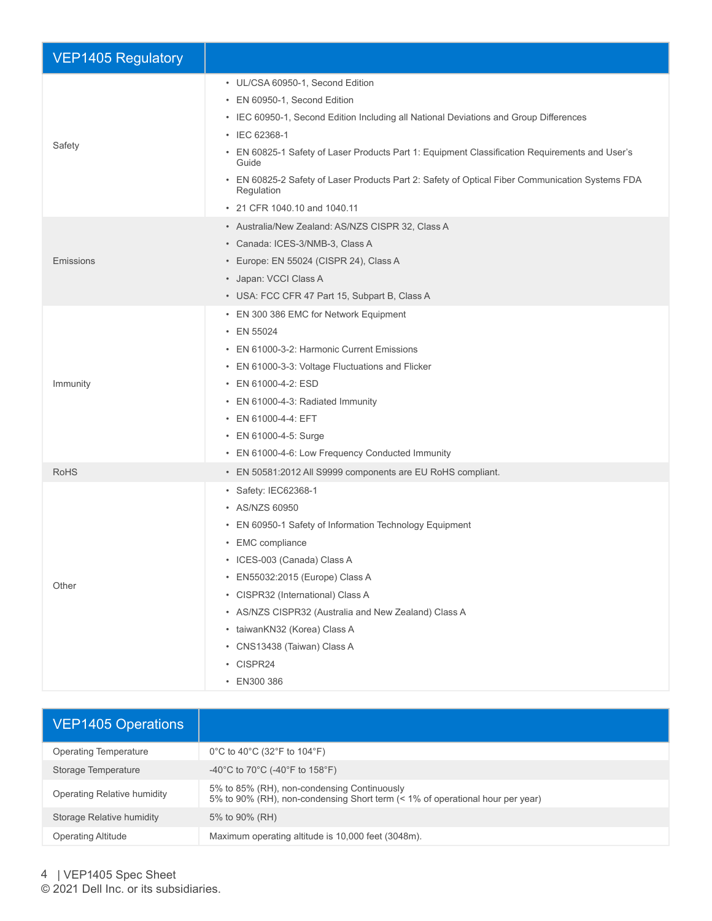| <b>VEP1405 Regulatory</b> |                                                                                                                                                                                                                                                                                                                                                                                                                                                |
|---------------------------|------------------------------------------------------------------------------------------------------------------------------------------------------------------------------------------------------------------------------------------------------------------------------------------------------------------------------------------------------------------------------------------------------------------------------------------------|
| Safety                    | • UL/CSA 60950-1, Second Edition<br>• EN 60950-1, Second Edition<br>• IEC 60950-1, Second Edition Including all National Deviations and Group Differences<br>• IEC 62368-1<br>• EN 60825-1 Safety of Laser Products Part 1: Equipment Classification Requirements and User's<br>Guide<br>• EN 60825-2 Safety of Laser Products Part 2: Safety of Optical Fiber Communication Systems FDA<br>Regulation<br>• 21 CFR 1040.10 and 1040.11         |
| Emissions                 | • Australia/New Zealand: AS/NZS CISPR 32, Class A<br>• Canada: ICES-3/NMB-3, Class A<br>• Europe: EN 55024 (CISPR 24), Class A<br>• Japan: VCCI Class A<br>• USA: FCC CFR 47 Part 15, Subpart B, Class A                                                                                                                                                                                                                                       |
| Immunity                  | • EN 300 386 EMC for Network Equipment<br>• EN 55024<br>• EN 61000-3-2: Harmonic Current Emissions<br>• EN 61000-3-3: Voltage Fluctuations and Flicker<br>• EN 61000-4-2: ESD<br>• EN 61000-4-3: Radiated Immunity<br>• EN 61000-4-4: EFT<br>• EN 61000-4-5: Surge<br>• EN 61000-4-6: Low Frequency Conducted Immunity                                                                                                                         |
| <b>RoHS</b><br>Other      | • EN 50581:2012 All S9999 components are EU RoHS compliant.<br>• Safety: IEC62368-1<br>• AS/NZS 60950<br>• EN 60950-1 Safety of Information Technology Equipment<br>• EMC compliance<br>• ICES-003 (Canada) Class A<br>• EN55032:2015 (Europe) Class A<br>• CISPR32 (International) Class A<br>• AS/NZS CISPR32 (Australia and New Zealand) Class A<br>· taiwanKN32 (Korea) Class A<br>• CNS13438 (Taiwan) Class A<br>• CISPR24<br>• EN300 386 |

| <b>VEP1405 Operations</b>    |                                                                                                                              |
|------------------------------|------------------------------------------------------------------------------------------------------------------------------|
| <b>Operating Temperature</b> | 0°C to 40°C (32°F to 104°F)                                                                                                  |
| Storage Temperature          | -40°C to 70°C (-40°F to 158°F)                                                                                               |
| Operating Relative humidity  | 5% to 85% (RH), non-condensing Continuously<br>5% to 90% (RH), non-condensing Short term (< 1% of operational hour per year) |
| Storage Relative humidity    | 5% to 90% (RH)                                                                                                               |
| <b>Operating Altitude</b>    | Maximum operating altitude is 10,000 feet (3048m).                                                                           |

4 | VEP1405 Spec Sheet

© 2021 Dell Inc. or its subsidiaries.